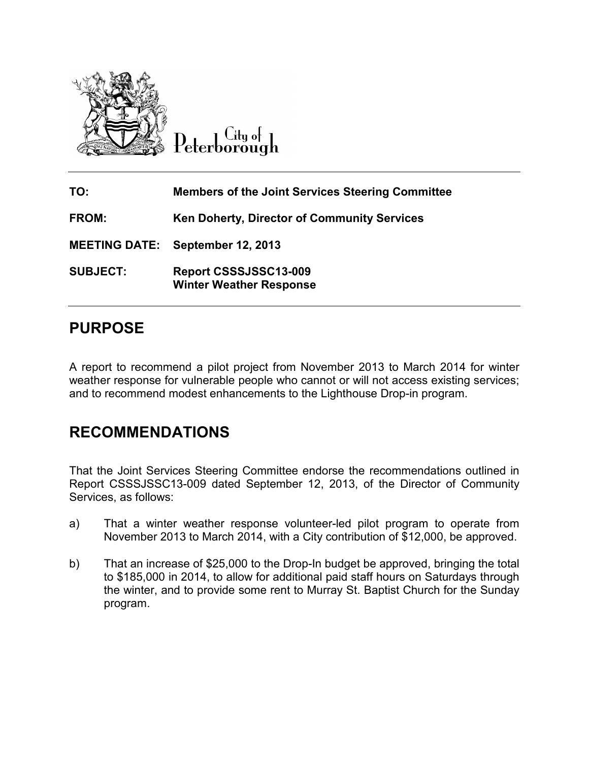

City of Peterborough

| TO:             | <b>Members of the Joint Services Steering Committee</b> |
|-----------------|---------------------------------------------------------|
| FROM:           | <b>Ken Doherty, Director of Community Services</b>      |
|                 | <b>MEETING DATE: September 12, 2013</b>                 |
| <b>SUBJECT:</b> | Report CSSSJSSC13-009<br><b>Winter Weather Response</b> |

# **PURPOSE**

A report to recommend a pilot project from November 2013 to March 2014 for winter weather response for vulnerable people who cannot or will not access existing services; and to recommend modest enhancements to the Lighthouse Drop-in program.

# **RECOMMENDATIONS**

That the Joint Services Steering Committee endorse the recommendations outlined in Report CSSSJSSC13-009 dated September 12, 2013, of the Director of Community Services, as follows:

- a) That a winter weather response volunteer-led pilot program to operate from November 2013 to March 2014, with a City contribution of \$12,000, be approved.
- b) That an increase of \$25,000 to the Drop-In budget be approved, bringing the total to \$185,000 in 2014, to allow for additional paid staff hours on Saturdays through the winter, and to provide some rent to Murray St. Baptist Church for the Sunday program.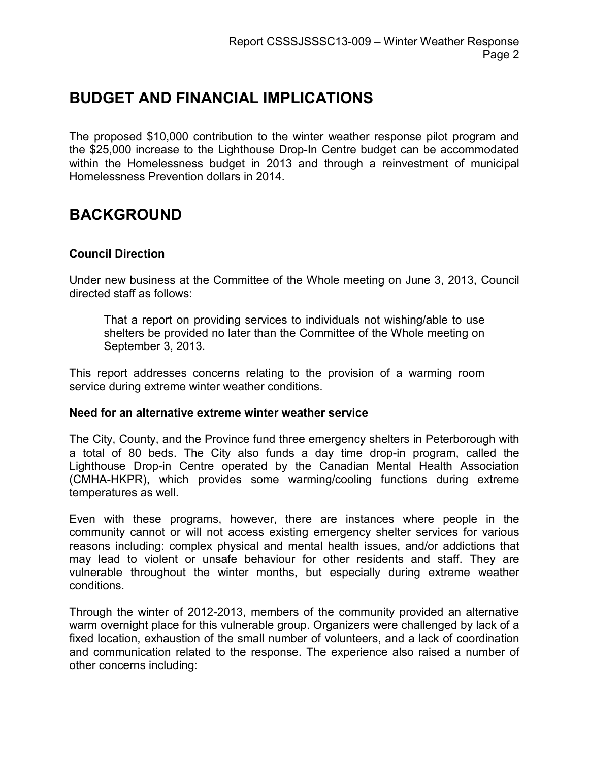## **BUDGET AND FINANCIAL IMPLICATIONS**

The proposed \$10,000 contribution to the winter weather response pilot program and the \$25,000 increase to the Lighthouse Drop-In Centre budget can be accommodated within the Homelessness budget in 2013 and through a reinvestment of municipal Homelessness Prevention dollars in 2014.

## **BACKGROUND**

### **Council Direction**

Under new business at the Committee of the Whole meeting on June 3, 2013, Council directed staff as follows:

That a report on providing services to individuals not wishing/able to use shelters be provided no later than the Committee of the Whole meeting on September 3, 2013.

This report addresses concerns relating to the provision of a warming room service during extreme winter weather conditions.

#### **Need for an alternative extreme winter weather service**

The City, County, and the Province fund three emergency shelters in Peterborough with a total of 80 beds. The City also funds a day time drop-in program, called the Lighthouse Drop-in Centre operated by the Canadian Mental Health Association (CMHA-HKPR), which provides some warming/cooling functions during extreme temperatures as well.

Even with these programs, however, there are instances where people in the community cannot or will not access existing emergency shelter services for various reasons including: complex physical and mental health issues, and/or addictions that may lead to violent or unsafe behaviour for other residents and staff. They are vulnerable throughout the winter months, but especially during extreme weather conditions.

Through the winter of 2012-2013, members of the community provided an alternative warm overnight place for this vulnerable group. Organizers were challenged by lack of a fixed location, exhaustion of the small number of volunteers, and a lack of coordination and communication related to the response. The experience also raised a number of other concerns including: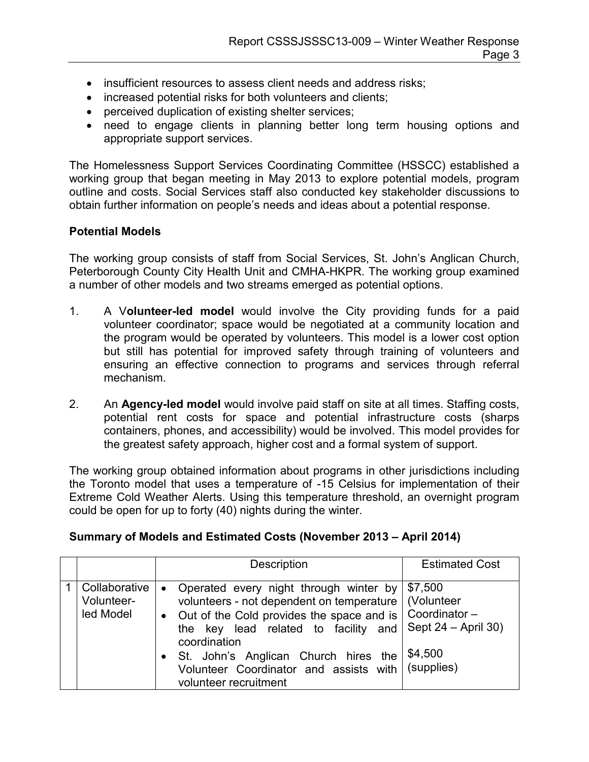- insufficient resources to assess client needs and address risks;
- increased potential risks for both volunteers and clients;
- perceived duplication of existing shelter services;
- need to engage clients in planning better long term housing options and appropriate support services.

The Homelessness Support Services Coordinating Committee (HSSCC) established a working group that began meeting in May 2013 to explore potential models, program outline and costs. Social Services staff also conducted key stakeholder discussions to obtain further information on people's needs and ideas about a potential response.

#### **Potential Models**

The working group consists of staff from Social Services, St. John's Anglican Church, Peterborough County City Health Unit and CMHA-HKPR. The working group examined a number of other models and two streams emerged as potential options.

- 1. A V**olunteer-led model** would involve the City providing funds for a paid volunteer coordinator; space would be negotiated at a community location and the program would be operated by volunteers. This model is a lower cost option but still has potential for improved safety through training of volunteers and ensuring an effective connection to programs and services through referral mechanism.
- 2. An **Agency-led model** would involve paid staff on site at all times. Staffing costs, potential rent costs for space and potential infrastructure costs (sharps containers, phones, and accessibility) would be involved. This model provides for the greatest safety approach, higher cost and a formal system of support.

The working group obtained information about programs in other jurisdictions including the Toronto model that uses a temperature of -15 Celsius for implementation of their Extreme Cold Weather Alerts. Using this temperature threshold, an overnight program could be open for up to forty (40) nights during the winter.

| Summary of Models and Estimated Costs (November 2013 - April 2014) |  |  |
|--------------------------------------------------------------------|--|--|
|--------------------------------------------------------------------|--|--|

|                                          | Description                                                                                                                                                                                                                                                                                                                                | <b>Estimated Cost</b>                                                    |
|------------------------------------------|--------------------------------------------------------------------------------------------------------------------------------------------------------------------------------------------------------------------------------------------------------------------------------------------------------------------------------------------|--------------------------------------------------------------------------|
| Collaborative<br>Volunteer-<br>led Model | Operated every night through winter by<br>$\bullet$<br>volunteers - not dependent on temperature<br>Out of the Cold provides the space and is<br>$\bullet$<br>the key lead related to facility and<br>coordination<br>St. John's Anglican Church hires the<br>Volunteer Coordinator and assists with   (supplies)<br>volunteer recruitment | \$7,500<br>(Volunteer<br>Coordinator-<br>Sept $24 - April 30$<br>\$4,500 |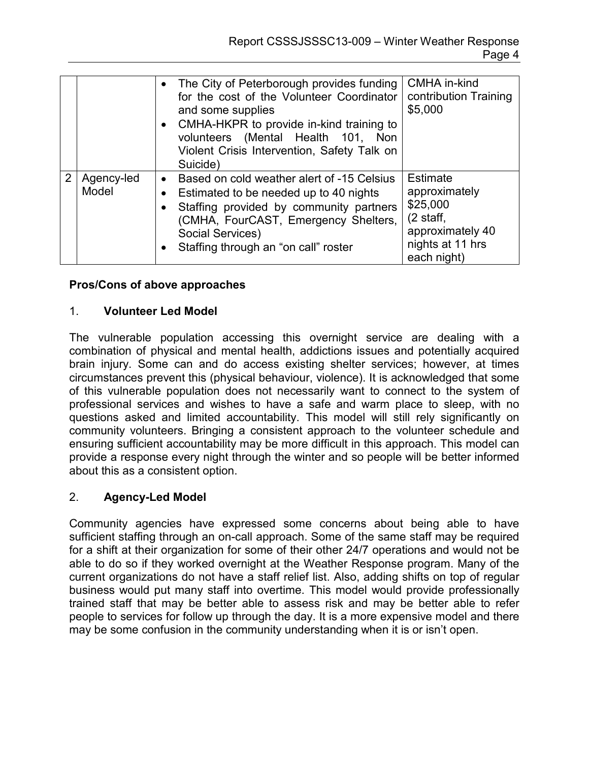|                |                     | The City of Peterborough provides funding<br>for the cost of the Volunteer Coordinator<br>and some supplies<br>• CMHA-HKPR to provide in-kind training to<br>volunteers (Mental Health 101, Non<br>Violent Crisis Intervention, Safety Talk on<br>Suicide) | CMHA in-kind<br>contribution Training<br>\$5,000                                                                           |
|----------------|---------------------|------------------------------------------------------------------------------------------------------------------------------------------------------------------------------------------------------------------------------------------------------------|----------------------------------------------------------------------------------------------------------------------------|
| $\overline{2}$ | Agency-led<br>Model | Based on cold weather alert of -15 Celsius<br>$\bullet$<br>Estimated to be needed up to 40 nights<br>Staffing provided by community partners<br>(CMHA, FourCAST, Emergency Shelters,<br>Social Services)<br>Staffing through an "on call" roster           | <b>Estimate</b><br>approximately<br>\$25,000<br>$(2 \text{ staff},$<br>approximately 40<br>nights at 11 hrs<br>each night) |

### **Pros/Cons of above approaches**

#### 1. **Volunteer Led Model**

The vulnerable population accessing this overnight service are dealing with a combination of physical and mental health, addictions issues and potentially acquired brain injury. Some can and do access existing shelter services; however, at times circumstances prevent this (physical behaviour, violence). It is acknowledged that some of this vulnerable population does not necessarily want to connect to the system of professional services and wishes to have a safe and warm place to sleep, with no questions asked and limited accountability. This model will still rely significantly on community volunteers. Bringing a consistent approach to the volunteer schedule and ensuring sufficient accountability may be more difficult in this approach. This model can provide a response every night through the winter and so people will be better informed about this as a consistent option.

#### 2. **Agency-Led Model**

Community agencies have expressed some concerns about being able to have sufficient staffing through an on-call approach. Some of the same staff may be required for a shift at their organization for some of their other 24/7 operations and would not be able to do so if they worked overnight at the Weather Response program. Many of the current organizations do not have a staff relief list. Also, adding shifts on top of regular business would put many staff into overtime. This model would provide professionally trained staff that may be better able to assess risk and may be better able to refer people to services for follow up through the day. It is a more expensive model and there may be some confusion in the community understanding when it is or isn't open.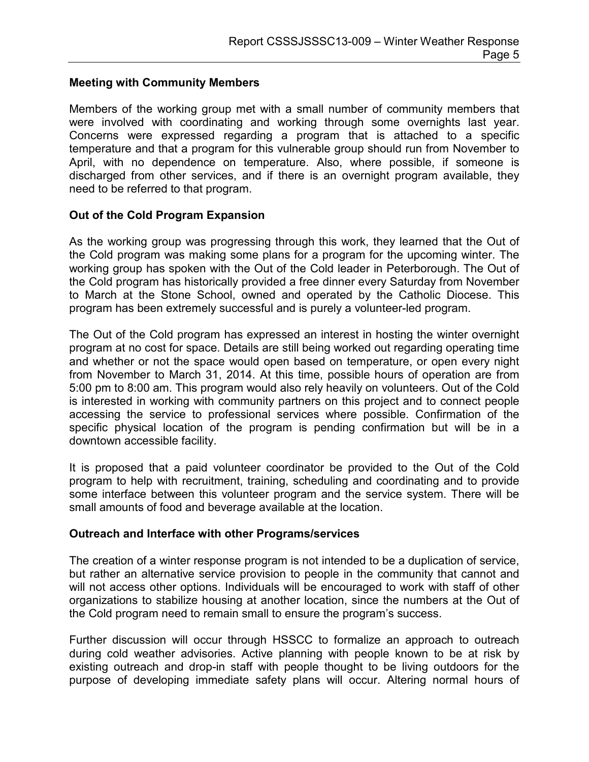### **Meeting with Community Members**

Members of the working group met with a small number of community members that were involved with coordinating and working through some overnights last year. Concerns were expressed regarding a program that is attached to a specific temperature and that a program for this vulnerable group should run from November to April, with no dependence on temperature. Also, where possible, if someone is discharged from other services, and if there is an overnight program available, they need to be referred to that program.

#### **Out of the Cold Program Expansion**

As the working group was progressing through this work, they learned that the Out of the Cold program was making some plans for a program for the upcoming winter. The working group has spoken with the Out of the Cold leader in Peterborough. The Out of the Cold program has historically provided a free dinner every Saturday from November to March at the Stone School, owned and operated by the Catholic Diocese. This program has been extremely successful and is purely a volunteer-led program.

The Out of the Cold program has expressed an interest in hosting the winter overnight program at no cost for space. Details are still being worked out regarding operating time and whether or not the space would open based on temperature, or open every night from November to March 31, 2014. At this time, possible hours of operation are from 5:00 pm to 8:00 am. This program would also rely heavily on volunteers. Out of the Cold is interested in working with community partners on this project and to connect people accessing the service to professional services where possible. Confirmation of the specific physical location of the program is pending confirmation but will be in a downtown accessible facility.

It is proposed that a paid volunteer coordinator be provided to the Out of the Cold program to help with recruitment, training, scheduling and coordinating and to provide some interface between this volunteer program and the service system. There will be small amounts of food and beverage available at the location.

#### **Outreach and Interface with other Programs/services**

The creation of a winter response program is not intended to be a duplication of service, but rather an alternative service provision to people in the community that cannot and will not access other options. Individuals will be encouraged to work with staff of other organizations to stabilize housing at another location, since the numbers at the Out of the Cold program need to remain small to ensure the program's success.

Further discussion will occur through HSSCC to formalize an approach to outreach during cold weather advisories. Active planning with people known to be at risk by existing outreach and drop-in staff with people thought to be living outdoors for the purpose of developing immediate safety plans will occur. Altering normal hours of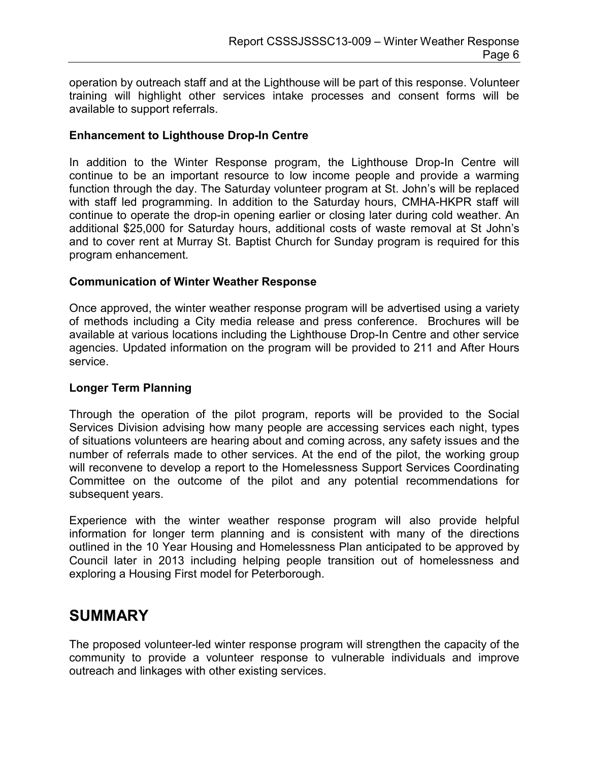operation by outreach staff and at the Lighthouse will be part of this response. Volunteer training will highlight other services intake processes and consent forms will be available to support referrals.

#### **Enhancement to Lighthouse Drop-In Centre**

In addition to the Winter Response program, the Lighthouse Drop-In Centre will continue to be an important resource to low income people and provide a warming function through the day. The Saturday volunteer program at St. John's will be replaced with staff led programming. In addition to the Saturday hours, CMHA-HKPR staff will continue to operate the drop-in opening earlier or closing later during cold weather. An additional \$25,000 for Saturday hours, additional costs of waste removal at St John's and to cover rent at Murray St. Baptist Church for Sunday program is required for this program enhancement.

### **Communication of Winter Weather Response**

Once approved, the winter weather response program will be advertised using a variety of methods including a City media release and press conference. Brochures will be available at various locations including the Lighthouse Drop-In Centre and other service agencies. Updated information on the program will be provided to 211 and After Hours service.

#### **Longer Term Planning**

Through the operation of the pilot program, reports will be provided to the Social Services Division advising how many people are accessing services each night, types of situations volunteers are hearing about and coming across, any safety issues and the number of referrals made to other services. At the end of the pilot, the working group will reconvene to develop a report to the Homelessness Support Services Coordinating Committee on the outcome of the pilot and any potential recommendations for subsequent years.

Experience with the winter weather response program will also provide helpful information for longer term planning and is consistent with many of the directions outlined in the 10 Year Housing and Homelessness Plan anticipated to be approved by Council later in 2013 including helping people transition out of homelessness and exploring a Housing First model for Peterborough.

### **SUMMARY**

The proposed volunteer-led winter response program will strengthen the capacity of the community to provide a volunteer response to vulnerable individuals and improve outreach and linkages with other existing services.